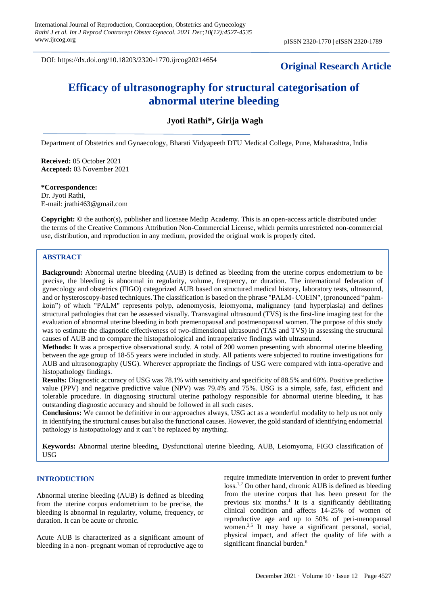DOI: https://dx.doi.org/10.18203/2320-1770.ijrcog20214654

# **Original Research Article**

# **Efficacy of ultrasonography for structural categorisation of abnormal uterine bleeding**

## **Jyoti Rathi\*, Girija Wagh**

Department of Obstetrics and Gynaecology, Bharati Vidyapeeth DTU Medical College, Pune, Maharashtra, India

**Received:** 05 October 2021 **Accepted:** 03 November 2021

**\*Correspondence:** Dr. Jyoti Rathi, E-mail: jrathi463@gmail.com

**Copyright:** © the author(s), publisher and licensee Medip Academy. This is an open-access article distributed under the terms of the Creative Commons Attribution Non-Commercial License, which permits unrestricted non-commercial use, distribution, and reproduction in any medium, provided the original work is properly cited.

## **ABSTRACT**

**Background:** Abnormal uterine bleeding (AUB) is defined as bleeding from the uterine corpus endometrium to be precise, the bleeding is abnormal in regularity, volume, frequency, or duration. The international federation of gynecology and obstetrics (FIGO) categorized AUB based on structured medical history, laboratory tests, ultrasound, and or hysteroscopy-based techniques.The classification is based on the phrase "PALM- COEIN", (pronounced "pahmkoin") of which "PALM" represents polyp, adenomyosis, leiomyoma, malignancy (and hyperplasia) and defines structural pathologies that can be assessed visually. Transvaginal ultrasound (TVS) is the first-line imaging test for the evaluation of abnormal uterine bleeding in both premenopausal and postmenopausal women. The purpose of this study was to estimate the diagnostic effectiveness of two-dimensional ultrasound (TAS and TVS) in assessing the structural causes of AUB and to compare the histopathological and intraoperative findings with ultrasound.

**Methods:** It was a prospective observational study. A total of 200 women presenting with abnormal uterine bleeding between the age group of 18-55 years were included in study. All patients were subjected to routine investigations for AUB and ultrasonography (USG). Wherever appropriate the findings of USG were compared with intra-operative and histopathology findings.

**Results:** Diagnostic accuracy of USG was 78.1% with sensitivity and specificity of 88.5% and 60%. Positive predictive value (PPV) and negative predictive value (NPV) was 79.4% and 75%. USG is a simple, safe, fast, efficient and tolerable procedure. In diagnosing structural uterine pathology responsible for abnormal uterine bleeding, it has outstanding diagnostic accuracy and should be followed in all such cases.

**Conclusions:** We cannot be definitive in our approaches always, USG act as a wonderful modality to help us not only in identifying the structural causes but also the functional causes. However, the gold standard of identifying endometrial pathology is histopathology and it can't be replaced by anything.

**Keywords:** Abnormal uterine bleeding, Dysfunctional uterine bleeding, AUB, Leiomyoma, FIGO classification of USG

## **INTRODUCTION**

Abnormal uterine bleeding (AUB) is defined as bleeding from the uterine corpus endometrium to be precise, the bleeding is abnormal in regularity, volume, frequency, or duration. It can be acute or chronic.

Acute AUB is characterized as a significant amount of bleeding in a non- pregnant woman of reproductive age to require immediate intervention in order to prevent further loss.<sup>1,2</sup> On other hand, chronic AUB is defined as bleeding from the uterine corpus that has been present for the previous six months.<sup>1</sup> It is a significantly debilitating clinical condition and affects 14-25% of women of reproductive age and up to 50% of peri-menopausal women.<sup>3,5</sup> It may have a significant personal, social, physical impact, and affect the quality of life with a significant financial burden.<sup>6</sup>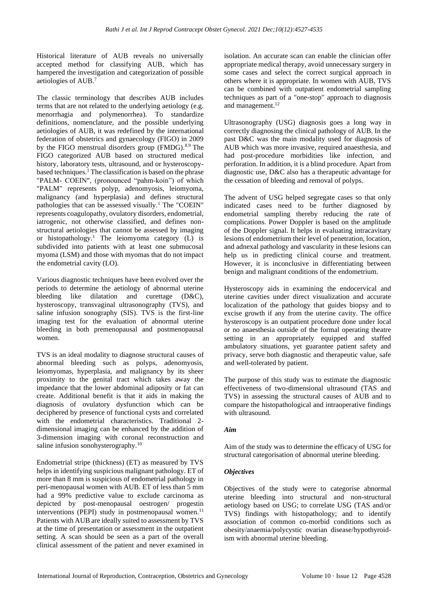Historical literature of AUB reveals no universally accepted method for classifying AUB, which has hampered the investigation and categorization of possible aetiologies of AUB.<sup>7</sup>

The classic terminology that describes AUB includes terms that are not related to the underlying aetiology (e.g. menorrhagia and polymenorrhea). To standardize definitions, nomenclature, and the possible underlying aetiologies of AUB, it was redefined by the international federation of obstetrics and gynaecology (FIGO) in 2009 by the FIGO menstrual disorders group (FMDG).8.9 The FIGO categorized AUB based on structured medical history, laboratory tests, ultrasound, and or hysteroscopybased techniques.<sup>1</sup> The classification is based on the phrase "PALM- COEIN", (pronounced "pahm-koin") of which "PALM" represents polyp, adenomyosis, leiomyoma, malignancy (and hyperplasia) and defines structural pathologies that can be assessed visually.<sup>1</sup> The "COEIN" represents coagulopathy, ovulatory disorders, endometrial, iatrogenic, not otherwise classified, and defines nonstructural aetiologies that cannot be assessed by imaging or histopathology.<sup>1</sup> The leiomyoma category (L) is subdivided into patients with at least one submucosal myoma (LSM) and those with myomas that do not impact the endometrial cavity (LO).

Various diagnostic techniques have been evolved over the periods to determine the aetiology of abnormal uterine bleeding like dilatation and curettage (D&C), hysteroscopy, transvaginal ultrasonography (TVS), and saline infusion sonography (SIS). TVS is the first-line imaging test for the evaluation of abnormal uterine bleeding in both premenopausal and postmenopausal women.

TVS is an ideal modality to diagnose structural causes of abnormal bleeding such as polyps, adenomyosis, leiomyomas, hyperplasia, and malignancy by its sheer proximity to the genital tract which takes away the impedance that the lower abdominal adiposity or fat can create. Additional benefit is that it aids in making the diagnosis of ovulatory dysfunction which can be deciphered by presence of functional cysts and correlated with the endometrial characteristics. Traditional 2 dimensional imaging can be enhanced by the addition of 3-dimension imaging with coronal reconstruction and saline infusion sonohysterography.<sup>10</sup>

Endometrial stripe (thickness) (ET) as measured by TVS helps in identifying suspicious malignant pathology. ET of more than 8 mm is suspicious of endometrial pathology in peri-menopausal women with AUB. ET of less than 5 mm had a 99% predictive value to exclude carcinoma as depicted by post-menopausal oestrogen/ progestin interventions (PEPI) study in postmenopausal women.<sup>11</sup> Patients with AUB are ideally suited to assessment by TVS at the time of presentation or assessment in the outpatient setting. A scan should be seen as a part of the overall clinical assessment of the patient and never examined in isolation. An accurate scan can enable the clinician offer appropriate medical therapy, avoid unnecessary surgery in some cases and select the correct surgical approach in others where it is appropriate. In women with AUB, TVS can be combined with outpatient endometrial sampling techniques as part of a "one-stop" approach to diagnosis and management.<sup>12</sup>

Ultrasonography (USG) diagnosis goes a long way in correctly diagnosing the clinical pathology of AUB. In the past D&C was the main modality used for diagnosis of AUB which was more invasive, required anaesthesia, and had post-procedure morbidities like infection, and perforation. In addition, it is a blind procedure. Apart from diagnostic use, D&C also has a therapeutic advantage for the cessation of bleeding and removal of polyps.

The advent of USG helped segregate cases so that only indicated cases need to be further diagnosed by endometrial sampling thereby reducing the rate of complications. Power Doppler is based on the amplitude of the Doppler signal. It helps in evaluating intracavitary lesions of endometrium their level of penetration, location, and adnexal pathology and vascularity in these lesions can help us in predicting clinical course and treatment. However, it is inconclusive in differentiating between benign and malignant conditions of the endometrium.

Hysteroscopy aids in examining the endocervical and uterine cavities under direct visualization and accurate localization of the pathology that guides biopsy and to excise growth if any from the uterine cavity. The office hysteroscopy is an outpatient procedure done under local or no anaesthesia outside of the formal operating theatre setting in an appropriately equipped and staffed ambulatory situations, yet guarantee patient safety and privacy, serve both diagnostic and therapeutic value, safe and well-tolerated by patient.

The purpose of this study was to estimate the diagnostic effectiveness of two-dimensional ultrasound (TAS and TVS) in assessing the structural causes of AUB and to compare the histopathological and intraoperative findings with ultrasound.

#### *Aim*

Aim of the study was to determine the efficacy of USG for structural categorisation of abnormal uterine bleeding.

#### *Objectives*

Objectives of the study were to categorise abnormal uterine bleeding into structural and non-structural aetiology based on USG; to correlate USG (TAS and/or TVS) findings with histopathology; and to identify association of common co-morbid conditions such as obesity/anaemia/polycystic ovarian disease/hypothyroidism with abnormal uterine bleeding.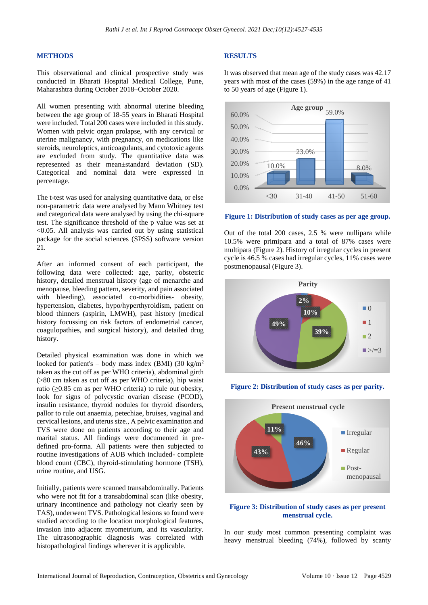#### **METHODS**

This observational and clinical prospective study was conducted in Bharati Hospital Medical College, Pune, Maharashtra during October 2018–October 2020.

All women presenting with abnormal uterine bleeding between the age group of 18-55 years in Bharati Hospital were included. Total 200 cases were included in this study. Women with pelvic organ prolapse, with any cervical or uterine malignancy, with pregnancy, on medications like steroids, neuroleptics, anticoagulants, and cytotoxic agents are excluded from study. The quantitative data was represented as their mean±standard deviation (SD). Categorical and nominal data were expressed in percentage.

The t-test was used for analysing quantitative data, or else non-parametric data were analysed by Mann Whitney test and categorical data were analysed by using the chi-square test. The significance threshold of the p value was set at <0.05. All analysis was carried out by using statistical package for the social sciences (SPSS) software version 21.

After an informed consent of each participant, the following data were collected: age, parity, obstetric history, detailed menstrual history (age of menarche and menopause, bleeding pattern, severity, and pain associated with bleeding), associated co-morbidities- obesity, hypertension, diabetes, hypo/hyperthyroidism, patient on blood thinners (aspirin, LMWH), past history (medical history focussing on risk factors of endometrial cancer, coagulopathies, and surgical history), and detailed drug history.

Detailed physical examination was done in which we looked for patient's – body mass index (BMI) (30 kg/m<sup>2</sup> taken as the cut off as per WHO criteria), abdominal girth (>80 cm taken as cut off as per WHO criteria), hip waist ratio ( $\geq$ 0.85 cm as per WHO criteria) to rule out obesity, look for signs of polycystic ovarian disease (PCOD), insulin resistance, thyroid nodules for thyroid disorders, pallor to rule out anaemia, petechiae, bruises, vaginal and cervical lesions, and uterus size., A pelvic examination and TVS were done on patients according to their age and marital status. All findings were documented in predefined pro-forma. All patients were then subjected to routine investigations of AUB which included- complete blood count (CBC), thyroid-stimulating hormone (TSH), urine routine, and USG.

Initially, patients were scanned transabdominally. Patients who were not fit for a transabdominal scan (like obesity, urinary incontinence and pathology not clearly seen by TAS), underwent TVS. Pathological lesions so found were studied according to the location morphological features, invasion into adjacent myometrium, and its vascularity. The ultrasonographic diagnosis was correlated with histopathological findings wherever it is applicable.

#### **RESULTS**

It was observed that mean age of the study cases was 42.17 years with most of the cases (59%) in the age range of 41 to 50 years of age (Figure 1).



#### **Figure 1: Distribution of study cases as per age group.**

Out of the total 200 cases, 2.5 % were nullipara while 10.5% were primipara and a total of 87% cases were multipara (Figure 2). History of irregular cycles in present cycle is 46.5 % cases had irregular cycles, 11% cases were postmenopausal (Figure 3).







#### **Figure 3: Distribution of study cases as per present menstrual cycle.**

In our study most common presenting complaint was heavy menstrual bleeding (74%), followed by scanty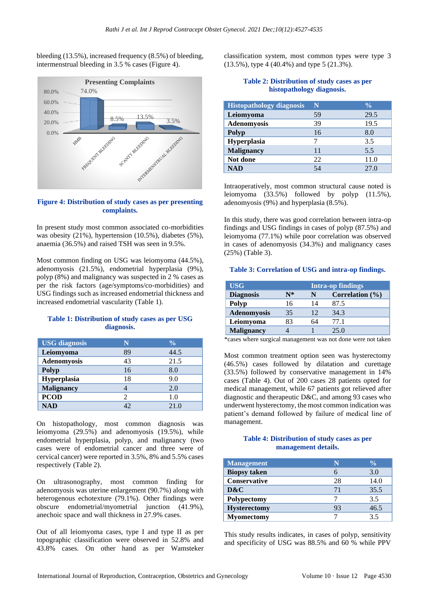bleeding (13.5%), increased frequency (8.5%) of bleeding, intermenstrual bleeding in 3.5 % cases (Figure 4).



#### **Figure 4: Distribution of study cases as per presenting complaints.**

In present study most common associated co-morbidities was obesity (21%), hypertension (10.5%), diabetes (5%), anaemia (36.5%) and raised TSH was seen in 9.5%.

Most common finding on USG was leiomyoma (44.5%), adenomyosis (21.5%), endometrial hyperplasia (9%), polyp (8%) and malignancy was suspected in 2 % cases as per the risk factors (age/symptoms/co-morbidities) and USG findings such as increased endometrial thickness and increased endometrial vascularity (Table 1).

#### **Table 1: Distribution of study cases as per USG diagnosis.**

| <b>USG</b> diagnosis | N                     | $\frac{0}{0}$ |
|----------------------|-----------------------|---------------|
| Leiomyoma            | 89                    | 44.5          |
| <b>Adenomyosis</b>   | 43                    | 21.5          |
| <b>Polyp</b>         | 16                    | 8.0           |
| Hyperplasia          | 18                    | 9.0           |
| <b>Malignancy</b>    |                       | 2.0           |
| <b>PCOD</b>          | $\mathcal{D}_{\cdot}$ | 1.0           |
| <b>NAD</b>           | 42.                   | 21.0          |

On histopathology, most common diagnosis was leiomyoma (29.5%) and adenomyosis (19.5%), while endometrial hyperplasia, polyp, and malignancy (two cases were of endometrial cancer and three were of cervical cancer) were reported in 3.5%, 8% and 5.5% cases respectively (Table 2).

On ultrasonography, most common finding for adenomyosis was uterine enlargement (90.7%) along with heterogenous echotexture (79.1%). Other findings were obscure endometrial/myometrial junction (41.9%), anechoic space and wall thickness in 27.9% cases.

Out of all leiomyoma cases, type I and type II as per topographic classification were observed in 52.8% and 43.8% cases. On other hand as per Wamsteker classification system, most common types were type 3 (13.5%), type 4 (40.4%) and type 5 (21.3%).

#### **Table 2: Distribution of study cases as per histopathology diagnosis.**

| <b>Histopathology diagnosis</b> | N  | $\frac{0}{0}$ |
|---------------------------------|----|---------------|
| Leiomyoma                       | 59 | 29.5          |
| <b>Adenomyosis</b>              | 39 | 19.5          |
| <b>Polyp</b>                    | 16 | 8.0           |
| Hyperplasia                     |    | 3.5           |
| <b>Malignancy</b>               | 11 | 5.5           |
| Not done                        | 22 | 11.0          |
| NAD                             |    | 27.0          |

Intraoperatively, most common structural cause noted is leiomyoma (33.5%) followed by polyp (11.5%), adenomyosis (9%) and hyperplasia (8.5%).

In this study, there was good correlation between intra-op findings and USG findings in cases of polyp (87.5%) and leiomyoma (77.1%) while poor correlation was observed in cases of adenomyosis (34.3%) and malignancy cases (25%) (Table 3).

#### **Table 3: Correlation of USG and intra-op findings.**

| <b>USG</b>        | <b>Intra-op findings</b> |    |                     |
|-------------------|--------------------------|----|---------------------|
| <b>Diagnosis</b>  | N*                       | N  | Correlation $(\% )$ |
| Polyp             | 16                       | 14 | 87.5                |
| Adenomyosis       | 35                       | 12 | 34.3                |
| Leiomyoma         | 83                       | 64 | 77.1                |
| <b>Malignancy</b> |                          |    | 25.0                |

\*cases where surgical management was not done were not taken

Most common treatment option seen was hysterectomy (46.5%) cases followed by dilatation and curettage (33.5%) followed by conservative management in 14% cases (Table 4). Out of 200 cases 28 patients opted for medical management, while 67 patients got relieved after diagnostic and therapeutic D&C, and among 93 cases who underwent hysterectomy, the most common indication was patient's demand followed by failure of medical line of management.

#### **Table 4: Distribution of study cases as per management details.**

| <b>Management</b>   | N  | $\frac{0}{0}$ |
|---------------------|----|---------------|
| <b>Biopsy taken</b> |    | 3.0           |
| Conservative        | 28 | 14.0          |
| D&C                 | 71 | 35.5          |
| Polypectomy         |    | 3.5           |
| <b>Hysterectomy</b> | 93 | 46.5          |
| <b>Myomectomy</b>   |    | 35            |

This study results indicates, in cases of polyp, sensitivity and specificity of USG was 88.5% and 60 % while PPV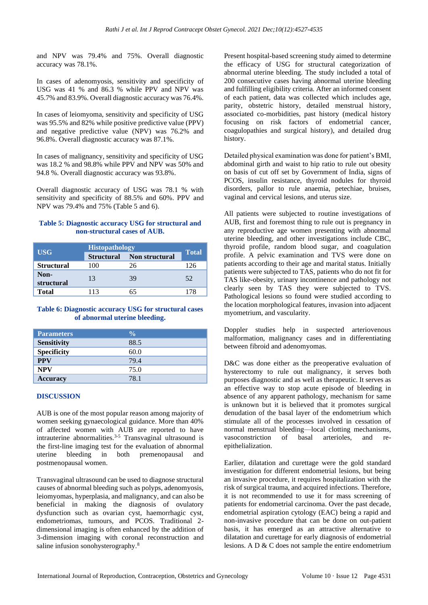and NPV was 79.4% and 75%. Overall diagnostic accuracy was 78.1%.

In cases of adenomyosis, sensitivity and specificity of USG was 41 % and 86.3 % while PPV and NPV was 45.7% and 83.9%. Overall diagnostic accuracy was 76.4%.

In cases of leiomyoma, sensitivity and specificity of USG was 95.5% and 82% while positive predictive value (PPV) and negative predictive value (NPV) was 76.2% and 96.8%. Overall diagnostic accuracy was 87.1%.

In cases of malignancy, sensitivity and specificity of USG was 18.2 % and 98.8% while PPV and NPV was 50% and 94.8 %. Overall diagnostic accuracy was 93.8%.

Overall diagnostic accuracy of USG was 78.1 % with sensitivity and specificity of 88.5% and 60%. PPV and NPV was 79.4% and 75% (Table 5 and 6).

#### **Table 5: Diagnostic accuracy USG for structural and non-structural cases of AUB.**

|                    | <b>Histopathology</b> |                                  |       |
|--------------------|-----------------------|----------------------------------|-------|
| <b>USG</b>         |                       | <b>Structural</b> Non structural | Total |
| <b>Structural</b>  | 100                   | 26                               | 126   |
| Non-<br>structural | 13                    | 39                               | 52    |
| <b>Total</b>       | 113                   | 65                               | 178   |

#### **Table 6: Diagnostic accuracy USG for structural cases of abnormal uterine bleeding.**

| <b>Parameters</b>  | $\frac{0}{0}$ |
|--------------------|---------------|
| <b>Sensitivity</b> | 88.5          |
| <b>Specificity</b> | 60.0          |
| <b>PPV</b>         | 79.4          |
| <b>NPV</b>         | 75.0          |
| <b>Accuracy</b>    | 78.1          |

#### **DISCUSSION**

AUB is one of the most popular reason among majority of women seeking gynaecological guidance. More than 40% of affected women with AUB are reported to have intrauterine abnormalities. $3-5$  Transvaginal ultrasound is the first-line imaging test for the evaluation of abnormal uterine bleeding in both premenopausal and postmenopausal women.

Transvaginal ultrasound can be used to diagnose structural causes of abnormal bleeding such as polyps, adenomyosis, leiomyomas, hyperplasia, and malignancy, and can also be beneficial in making the diagnosis of ovulatory dysfunction such as ovarian cyst, haemorrhagic cyst, endometriomas, tumours, and PCOS. Traditional 2 dimensional imaging is often enhanced by the addition of 3-dimension imaging with coronal reconstruction and saline infusion sonohysterography.<sup>8</sup>

Present hospital-based screening study aimed to determine the efficacy of USG for structural categorization of abnormal uterine bleeding. The study included a total of 200 consecutive cases having abnormal uterine bleeding and fulfilling eligibility criteria. After an informed consent of each patient, data was collected which includes age, parity, obstetric history, detailed menstrual history, associated co-morbidities, past history (medical history focusing on risk factors of endometrial cancer, coagulopathies and surgical history), and detailed drug history.

Detailed physical examination was done for patient's BMI, abdominal girth and waist to hip ratio to rule out obesity on basis of cut off set by Government of India, signs of PCOS, insulin resistance, thyroid nodules for thyroid disorders, pallor to rule anaemia, petechiae, bruises, vaginal and cervical lesions, and uterus size.

All patients were subjected to routine investigations of AUB, first and foremost thing to rule out is pregnancy in any reproductive age women presenting with abnormal uterine bleeding, and other investigations include CBC, thyroid profile, random blood sugar, and coagulation profile. A pelvic examination and TVS were done on patients according to their age and marital status. Initially patients were subjected to TAS, patients who do not fit for TAS like-obesity, urinary incontinence and pathology not clearly seen by TAS they were subjected to TVS. Pathological lesions so found were studied according to the location morphological features, invasion into adjacent myometrium, and vascularity.

Doppler studies help in suspected arteriovenous malformation, malignancy cases and in differentiating between fibroid and adenomyomas.

D&C was done either as the preoperative evaluation of hysterectomy to rule out malignancy, it serves both purposes diagnostic and as well as therapeutic. It serves as an effective way to stop acute episode of bleeding in absence of any apparent pathology, mechanism for same is unknown but it is believed that it promotes surgical denudation of the basal layer of the endometrium which stimulate all of the processes involved in cessation of normal menstrual bleeding—local clotting mechanisms, vasoconstriction of basal arterioles, and reepithelialization.

Earlier, dilatation and curettage were the gold standard investigation for different endometrial lesions, but being an invasive procedure, it requires hospitalization with the risk of surgical trauma, and acquired infections. Therefore, it is not recommended to use it for mass screening of patients for endometrial carcinoma. Over the past decade, endometrial aspiration cytology (EAC) being a rapid and non-invasive procedure that can be done on out-patient basis, it has emerged as an attractive alternative to dilatation and curettage for early diagnosis of endometrial lesions. A D & C does not sample the entire endometrium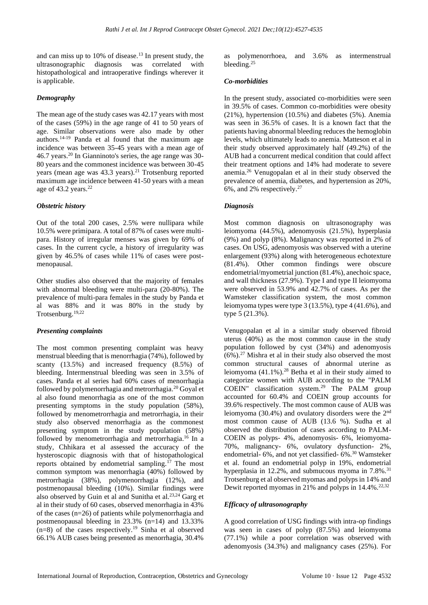and can miss up to 10% of disease.<sup>13</sup> In present study, the ultrasonographic diagnosis was correlated with histopathological and intraoperative findings wherever it is applicable.

## *Demography*

The mean age of the study cases was 42.17 years with most of the cases (59%) in the age range of 41 to 50 years of age. Similar observations were also made by other authors.14-19 Panda et al found that the maximum age incidence was between 35-45 years with a mean age of 46.7 years.<sup>20</sup> In Gianninoto's series, the age range was 30- 80 years and the commonest incidence was between 30-45 years (mean age was 43.3 years).<sup>21</sup> Trotsenburg reported maximum age incidence between 41-50 years with a mean age of 43.2 years.<sup>22</sup>

## *Obstetric history*

Out of the total 200 cases, 2.5% were nullipara while 10.5% were primipara. A total of 87% of cases were multipara. History of irregular menses was given by 69% of cases. In the current cycle, a history of irregularity was given by 46.5% of cases while 11% of cases were postmenopausal.

Other studies also observed that the majority of females with abnormal bleeding were multi-para (20-80%). The prevalence of multi-para females in the study by Panda et al was 88% and it was 80% in the study by Trotsenburg.19,22

## *Presenting complaints*

The most common presenting complaint was heavy menstrual bleeding that is menorrhagia (74%), followed by scanty (13.5%) and increased frequency (8.5%) of bleeding. Intermenstrual bleeding was seen in 3.5% of cases. Panda et al series had 60% cases of menorrhagia followed by polymenorrhagia and metrorrhagia.<sup>20</sup> Goyal et al also found menorrhagia as one of the most common presenting symptoms in the study population (58%), followed by menometrorrhagia and metrorrhagia, in their study also observed menorrhagia as the commonest presenting symptom in the study population (58%) followed by menometrorrhagia and metrorrhagia.<sup>16</sup> In a study, Chhikara et al assessed the accuracy of the hysteroscopic diagnosis with that of histopathological reports obtained by endometrial sampling.<sup> $17$ </sup> The most common symptom was menorrhagia (40%) followed by metrorrhagia (38%), polymenorrhagia (12%), and postmenopausal bleeding (10%). Similar findings were also observed by Guin et al and Sunitha et al. $^{23,24}$  Garg et al in their study of 60 cases, observed menorrhagia in 43% of the cases (n=26) of patients while polymenorrhagia and postmenopausal bleeding in 23.3% (n=14) and 13.33%  $(n=8)$  of the cases respectively.<sup>19</sup> Sinha et al observed 66.1% AUB cases being presented as menorrhagia, 30.4%

as polymenorrhoea, and 3.6% as intermenstrual bleeding.<sup>25</sup>

#### *Co-morbidities*

In the present study, associated co-morbidities were seen in 39.5% of cases. Common co-morbidities were obesity (21%), hypertension (10.5%) and diabetes (5%). Anemia was seen in 36.5% of cases. It is a known fact that the patients having abnormal bleeding reduces the hemoglobin levels, which ultimately leads to anemia. Matteson et al in their study observed approximately half (49.2%) of the AUB had a concurrent medical condition that could affect their treatment options and 14% had moderate to severe anemia.<sup>26</sup> Venugopalan et al in their study observed the prevalence of anemia, diabetes, and hypertension as 20%, 6%, and 2% respectively.<sup>27</sup>

#### *Diagnosis*

Most common diagnosis on ultrasonography was leiomyoma (44.5%), adenomyosis (21.5%), hyperplasia (9%) and polyp (8%). Malignancy was reported in 2% of cases. On USG, adenomyosis was observed with a uterine enlargement (93%) along with heterogeneous echotexture (81.4%). Other common findings were obscure endometrial/myometrial junction (81.4%), anechoic space, and wall thickness (27.9%). Type I and type II leiomyoma were observed in 53.9% and 42.7% of cases. As per the Wamsteker classification system, the most common leiomyoma types were type  $3(13.5\%)$ , type  $4(41.6\%)$ , and type 5 (21.3%).

Venugopalan et al in a similar study observed fibroid uterus (40%) as the most common cause in the study population followed by cyst (34%) and adenomyosis  $(6\%)$ .<sup>27</sup> Mishra et al in their study also observed the most common structural causes of abnormal uterine as leiomyoma (41.1%).<sup>28</sup> Betha et al in their study aimed to categorize women with AUB according to the "PALM COEIN" classification system.<sup>29</sup> The PALM group accounted for 60.4% and COEIN group accounts for 39.6% respectively. The most common cause of AUB was leiomyoma (30.4%) and ovulatory disorders were the 2nd most common cause of AUB (13.6 %). Sudha et al observed the distribution of cases according to PALM-COEIN as polyps- 4%, adenomyosis- 6%, leiomyoma-70%, malignancy- 6%, ovulatory dysfunction- 2%, endometrial- 6%, and not yet classified- 6%.<sup>30</sup> Wamsteker et al. found an endometrial polyp in 19%, endometrial hyperplasia in 12.2%, and submucous myoma in 7.8%.<sup>31</sup> Trotsenburg et al observed myomas and polyps in 14% and Dewit reported myomas in 21% and polyps in  $14.4\%$ .<sup>22,32</sup>

## *Efficacy of ultrasonography*

A good correlation of USG findings with intra-op findings was seen in cases of polyp (87.5%) and leiomyoma (77.1%) while a poor correlation was observed with adenomyosis (34.3%) and malignancy cases (25%). For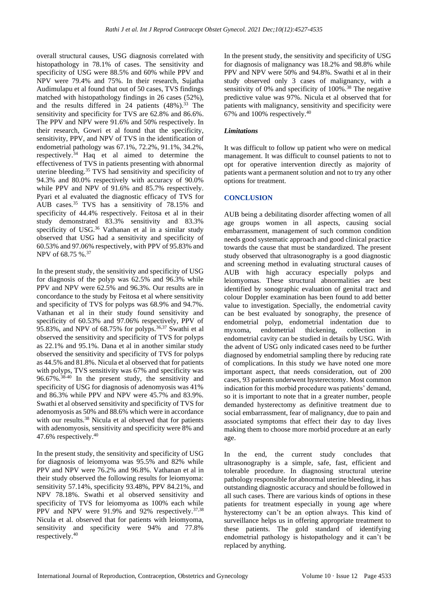overall structural causes, USG diagnosis correlated with histopathology in 78.1% of cases. The sensitivity and specificity of USG were 88.5% and 60% while PPV and NPV were 79.4% and 75%. In their research, Sujatha Audimulapu et al found that out of 50 cases, TVS findings matched with histopathology findings in 26 cases (52%), and the results differed in 24 patients  $(48\%)$ .<sup>33</sup> The sensitivity and specificity for TVS are 62.8% and 86.6%. The PPV and NPV were 91.6% and 50% respectively. In their research, Gowri et al found that the specificity, sensitivity, PPV, and NPV of TVS in the identification of endometrial pathology was 67.1%, 72.2%, 91.1%, 34.2%, respectively.<sup>34</sup> Haq et al aimed to determine the effectiveness of TVS in patients presenting with abnormal uterine bleeding.<sup>35</sup> TVS had sensitivity and specificity of 94.3% and 80.0% respectively with accuracy of 90.0% while PPV and NPV of 91.6% and 85.7% respectively. Pyari et al evaluated the diagnostic efficacy of TVS for AUB cases.<sup>35</sup> TVS has a sensitivity of 78.15% and specificity of 44.4% respectively. Feitosa et al in their study demonstrated 83.3% sensitivity and 83.3% specificity of USG. <sup>36</sup> Vathanan et al in a similar study observed that USG had a sensitivity and specificity of 60.53% and 97.06% respectively, with PPV of 95.83% and NPV of 68.75 %.<sup>37</sup>

In the present study, the sensitivity and specificity of USG for diagnosis of the polyp was 62.5% and 96.3% while PPV and NPV were 62.5% and 96.3%. Our results are in concordance to the study by Feitosa et al where sensitivity and specificity of TVS for polyps was 68.9% and 94.7%. Vathanan et al in their study found sensitivity and specificity of 60.53% and 97.06% respectively, PPV of 95.83%, and NPV of 68.75% for polyps.<sup>36,37</sup> Swathi et al observed the sensitivity and specificity of TVS for polyps as 22.1% and 95.1%. Dana et al in another similar study observed the sensitivity and specificity of TVS for polyps as 44.5% and 81.8%. Nicula et al observed that for patients with polyps, TVS sensitivity was  $67\%$  and specificity was 96.67%.38-40 In the present study, the sensitivity and specificity of USG for diagnosis of adenomyosis was 41% and 86.3% while PPV and NPV were 45.7% and 83.9%. Swathi et al observed sensitivity and specificity of TVS for adenomyosis as 50% and 88.6% which were in accordance with our results.<sup>38</sup> Nicula et al observed that for patients with adenomyosis, sensitivity and specificity were 8% and 47.6% respectively.<sup>40</sup>

In the present study, the sensitivity and specificity of USG for diagnosis of leiomyoma was 95.5% and 82% while PPV and NPV were 76.2% and 96.8%. Vathanan et al in their study observed the following results for leiomyoma: sensitivity 57.14%, specificity 93.48%, PPV 84.21%, and NPV 78.18%. Swathi et al observed sensitivity and specificity of TVS for leiomyoma as 100% each while PPV and NPV were  $91.9\%$  and  $92\%$  respectively.<sup>37,38</sup> Nicula et al. observed that for patients with leiomyoma, sensitivity and specificity were 94% and 77.8% respectively.<sup>40</sup>

In the present study, the sensitivity and specificity of USG for diagnosis of malignancy was 18.2% and 98.8% while PPV and NPV were 50% and 94.8%. Swathi et al in their study observed only 3 cases of malignancy, with a sensitivity of 0% and specificity of 100%.<sup>38</sup> The negative predictive value was 97%. Nicula et al observed that for patients with malignancy, sensitivity and specificity were 67% and 100% respectively.<sup>40</sup>

#### *Limitations*

It was difficult to follow up patient who were on medical management. It was difficult to counsel patients to not to opt for operative intervention directly as majority of patients want a permanent solution and not to try any other options for treatment.

## **CONCLUSION**

AUB being a debilitating disorder affecting women of all age groups women in all aspects, causing social embarrassment, management of such common condition needs good systematic approach and good clinical practice towards the cause that must be standardized. The present study observed that ultrasonography is a good diagnostic and screening method in evaluating structural causes of AUB with high accuracy especially polyps and leiomyomas. These structural abnormalities are best identified by sonographic evaluation of genital tract and colour Doppler examination has been found to add better value to investigation. Specially, the endometrial cavity can be best evaluated by sonography, the presence of endometrial polyp, endometrial indentation due to myxoma, endometrial thickening, collection in endometrial cavity can be studied in details by USG. With the advent of USG only indicated cases need to be further diagnosed by endometrial sampling there by reducing rate of complications. In this study we have noted one more important aspect, that needs consideration, out of 200 cases, 93 patients underwent hysterectomy. Most common indication for this morbid procedure was patients' demand, so it is important to note that in a greater number, people demanded hysterectomy as definitive treatment due to social embarrassment, fear of malignancy, due to pain and associated symptoms that effect their day to day lives making them to choose more morbid procedure at an early age.

In the end, the current study concludes that ultrasonography is a simple, safe, fast, efficient and tolerable procedure. In diagnosing structural uterine pathology responsible for abnormal uterine bleeding, it has outstanding diagnostic accuracy and should be followed in all such cases. There are various kinds of options in these patients for treatment especially in young age where hysterectomy can't be an option always. This kind of surveillance helps us in offering appropriate treatment to these patients. The gold standard of identifying endometrial pathology is histopathology and it can't be replaced by anything.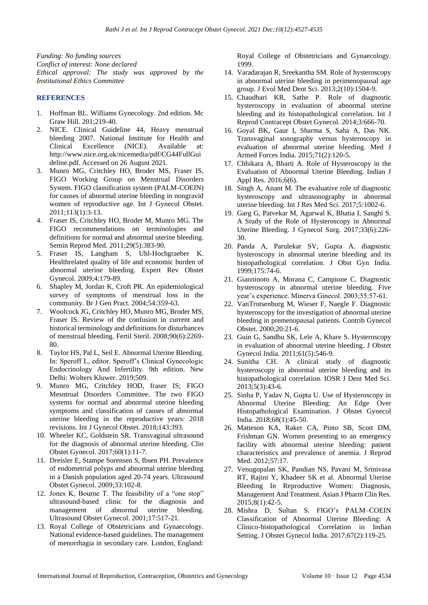*Funding: No funding sources Conflict of interest: None declared Ethical approval: The study was approved by the Institutional Ethics Committee*

## **REFERENCES**

- 1. Hoffman BL. Williams Gynecology. 2nd edition. Mc Graw Hill. 201;219-40.
- 2. NICE. Clinical Guideline 44, Heavy menstrual bleeding 2007. National Institute for Health and Clinical Excellence (NICE). Available at: http://www.nice.org.uk/nicemedia/pdf/CG44FullGui deline.pdf. Accessed on 26 August 2021.
- 3. Munro MG, Critchley HO, Broder MS, Fraser IS, FIGO Working Group on Menstrual Disorders System. FIGO classification system (PALM-COEIN) for causes of abnormal uterine bleeding in nongravid women of reproductive age. Int J Gynecol Obstet. 2011;113(1):3-13.
- 4. Fraser IS, Critchley HO, Broder M, Munro MG. The FIGO recommendations on terminologies and definitions for normal and abnormal uterine bleeding. Semin Reprod Med. 2011;29(5):383-90.
- 5. Fraser IS, Langham S, Uhl-Hochgraeber K. Healthrelated quality of life and economic burden of abnormal uterine bleeding. Expert Rev Obstet Gynecol. 2009;4:179-89.
- 6. Shapley M, Jordan K, Croft PR. An epidemiological survey of symptoms of menstrual loss in the community. Br J Gen Pract. 2004;54:359-63.
- 7. Woolcock JG, Critchley HO, Munro MG, Broder MS, Fraser IS. Review of the confusion in current and historical terminology and definitions for disturbances of menstrual bleeding. Fertil Steril. 2008;90(6):2269- 80.
- 8. Taylor HS, Pal L, Seil E. Abnormal Uterine Bleeding. In: Speroff L, editor. Speroff's Clinical Gynecologic Endocrinology And Infertility. 9th edition. New Delhi: Wolters Kluwer. 2019;509.
- 9. Munro MG, Critchley HOD, fraser IS; FIGO Mesntrual Disorders Committee. The two FIGO systems for normal and abnormal uterine bleeding symptoms and classification of causes of abnormal uterine bleeding in the reproductive years: 2018 revisions. Int J Gynecol Obstet. 2018;143:393.
- 10. Wheeler KC, Goldstein SR. Transvaginal ultrasound for the diagnosis of abnormal uterine bleeding. Clin Obstet Gynecol. 2017;60(1):11-7.
- 11. Dreisler E, Stampe Sorensen S, Ibsen PH. Prevalence of endometrial polyps and abnormal uterine bleeding in a Danish population aged 20-74 years. Ultrasound Obstet Gynecol. 2009;33:102-8.
- 12. Jones K, Bourne T. The feasibility of a "one stop" ultrasound-based clinic for the diagnosis and management of abnormal uterine bleeding. Ultrasound Obstet Gynecol. 2001;17:517-21.
- 13. Royal College of Obstetricians and Gynaecology. National evidence-based guidelines. The management of menorrhagia in secondary care. London, England:

Royal College of Obstetricians and Gynaecology. 1999.

- 14. Varadarajan R, Sreekantha SM. Role of hysteroscopy in abnormal uterine bleeding in perimenopausal age group. J Evol Med Dent Sci. 2013;2(10):1504-9.
- 15. Chaudhari KR, Sathe P. Role of diagnostic hysteroscopy in evaluation of abnormal uterine bleeding and its histopathological correlation. Int J Reprod Contracept Obstet Gynecol. 2014;3:666-70.
- 16. Goyal BK, Gaur I, Sharma S, Saha A, Das NK. Transvaginal sonography versus hysteroscopy in evaluation of abnormal uterine bleeding. Med J Armed Forces India. 2015;71(2):120-5.
- 17. Chhikara A, Bharti A. Role of Hysteroscopy in the Evaluation of Abnormal Uterine Bleeding. Indian J Appl Res. 2016;6(6).
- 18. Singh A, Anant M. The evaluative role of diagnostic hysteroscopy and ultrasonography in abnormal uterine bleeding. Int J Res Med Sci. 2017;5:1002-6.
- 19. Garg G, Patvekar M, Agarwal K, Bhatia I, Sanghi S. A Study of the Role of Hysteroscopy in Abnormal Uterine Bleeding. J Gynecol Surg. 2017;33(6):226- 30.
- 20. Panda A, Parulekar SV, Gupta A. diagnostic hysteroscopy in abnormal uterine bleeding and its histopathological correlation. J Obst Gyn India. 1999;175:74-6.
- 21. Gianninoto A, Morana C, Campione C. Diagnostic hysteroscopy in abnormal uterine bleeding. Five year's experience. Minerva Ginecol. 2003;55:57-61.
- 22. VanTrotsenburg M, Wieser F, Naegle F. Diagnostic hysteroscopy for the investigation of abnormal uterine bleeding in premenopausal patients. Contrib Gynecol Obstet. 2000;20:21-6.
- 23. Guin G, Sandhu SK, Lele A, Khare S. Hysteroscopy in evaluation of abnormal uterine bleeding. J Obstet Gynecol India. 2011;61(5):546-9.
- 24. Sunitha CH. A clinical study of diagnostic hysteroscopy in abnormal uterine bleeding and its histopathological correlation. IOSR J Dent Med Sci. 2013;5(3):43-6.
- 25. Sinha P, Yadav N, Gupta U. Use of Hysteroscopy in Abnormal Uterine Bleeding: An Edge Over Histopathological Examination. J Obstet Gynecol India. 2018;68(1):45-50.
- 26. Matteson KA, Raker CA, Pinto SB, Scott DM, Frishman GN. Women presenting to an emergency facility with abnormal uterine bleeding: patient characteristics and prevalence of anemia. J Reprod Med. 2012;57:17.
- 27. Venugopalan SK, Pandian NS, Pavani M, Srinivasa RT, Rajini Y, Khadeer SK et al. Abnormal Uterine Bleeding In Reproductive Women: Diagnosis, Management And Treatment. Asian J Pharm Clin Res. 2015;8(1):42-5.
- 28. Mishra D, Sultan S. FIGO's PALM–COEIN Classification of Abnormal Uterine Bleeding: A Clinico-histopathological Correlation in Indian Setting. J Obstet Gynecol India. 2017;67(2):119-25.